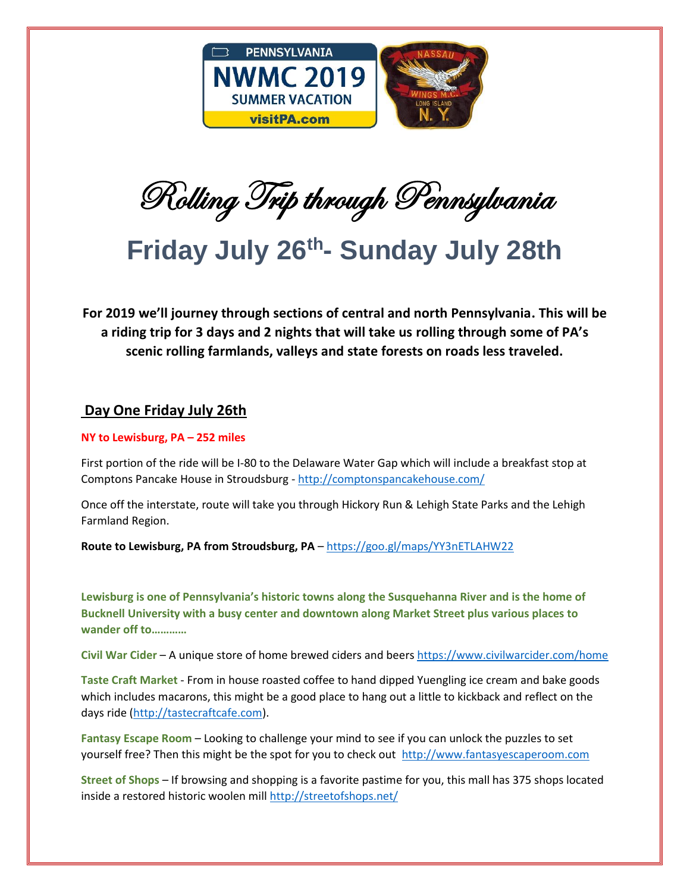

Rolling Trip through Pennsylvania

## **Friday July 26th - Sunday July 28th**

**For 2019 we'll journey through sections of central and north Pennsylvania. This will be a riding trip for 3 days and 2 nights that will take us rolling through some of PA's scenic rolling farmlands, valleys and state forests on roads less traveled.** 

## **Day One Friday July 26th**

## **NY to Lewisburg, PA – 252 miles**

First portion of the ride will be I-80 to the Delaware Water Gap which will include a breakfast stop at Comptons Pancake House in Stroudsburg - <http://comptonspancakehouse.com/>

Once off the interstate, route will take you through Hickory Run & Lehigh State Parks and the Lehigh Farmland Region.

**Route to Lewisburg, PA from Stroudsburg, PA** – https://goo.gl/maps/YY3nETLAHW22

**Lewisburg is one of Pennsylvania's historic towns along the Susquehanna River and is the home of Bucknell University with a busy center and downtown along Market Street plus various places to wander off to…………** 

**Civil War Cider** – A unique store of home brewed ciders and beers<https://www.civilwarcider.com/home>

**Taste Craft Market** - From in house roasted coffee to hand dipped Yuengling ice cream and bake goods which includes macarons, this might be a good place to hang out a little to kickback and reflect on the days ride [\(http://tastecraftcafe.com\)](http://tastecraftcafe.com/).

**Fantasy Escape Room** – Looking to challenge your mind to see if you can unlock the puzzles to set yourself free? Then this might be the spot for you to check out [http://www.fantasyescaperoom.com](http://www.fantasyescaperoom.com/)

**Street of Shops** – If browsing and shopping is a favorite pastime for you, this mall has 375 shops located inside a restored historic woolen mill<http://streetofshops.net/>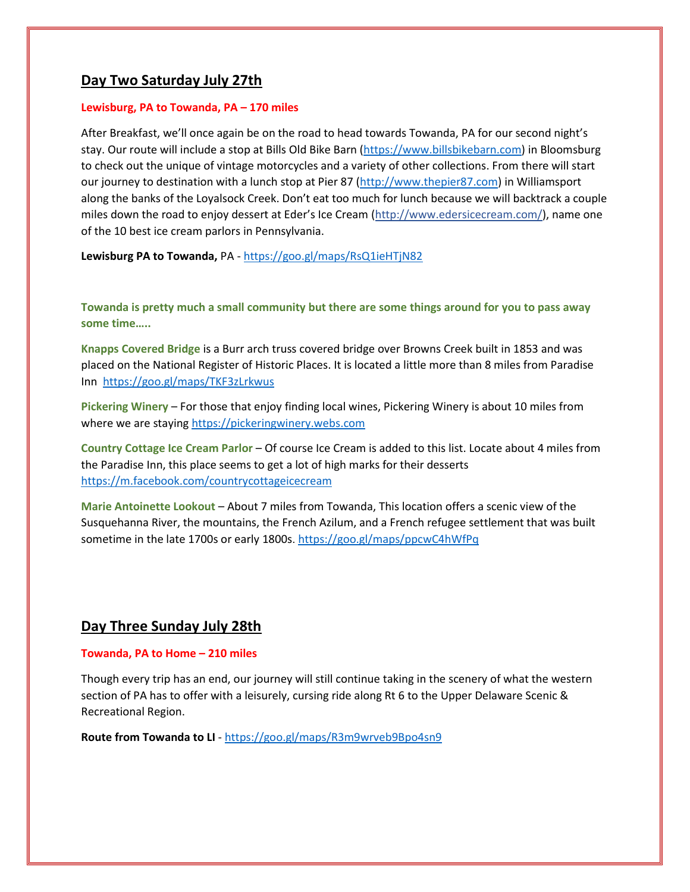## **Day Two Saturday July 27th**

#### **Lewisburg, PA to Towanda, PA – 170 miles**

After Breakfast, we'll once again be on the road to head towards Towanda, PA for our second night's stay. Our route will include a stop at Bills Old Bike Barn [\(https://www.billsbikebarn.com\)](https://www.billsbikebarn.com/) in Bloomsburg to check out the unique of vintage motorcycles and a variety of other collections. From there will start our journey to destination with a lunch stop at Pier 87 [\(http://www.thepier87.com\)](http://www.thepier87.com/) in Williamsport along the banks of the Loyalsock Creek. Don't eat too much for lunch because we will backtrack a couple miles down the road to enjoy dessert at Eder's Ice Cream [\(http://www.edersicecream.com/\)](http://www.edersicecream.com/), name one of the 10 best ice cream parlors in Pennsylvania.

**Lewisburg PA to Towanda,** PA - <https://goo.gl/maps/RsQ1ieHTjN82>

**Towanda is pretty much a small community but there are some things around for you to pass away some time…..**

**Knapps Covered Bridge** is a Burr arch truss covered bridge over Browns Creek built in 1853 and was placed on the National Register of Historic Places. It is located a little more than 8 miles from Paradise Inn https://goo.gl/maps/TKF3zLrkwus

**Pickering Winery** – For those that enjoy finding local wines, Pickering Winery is about 10 miles from where we are staying [https://pickeringwinery.webs.com](https://pickeringwinery.webs.com/)

**Country Cottage Ice Cream Parlor** – Of course Ice Cream is added to this list. Locate about 4 miles from the Paradise Inn, this place seems to get a lot of high marks for their desserts <https://m.facebook.com/countrycottageicecream>

**Marie Antoinette Lookout** – About 7 miles from Towanda, This location offers a scenic view of the Susquehanna River, the mountains, the French Azilum, and a French refugee settlement that was built sometime in the late 1700s or early 1800s. <https://goo.gl/maps/ppcwC4hWfPq>

## **Day Three Sunday July 28th**

#### **Towanda, PA to Home – 210 miles**

Though every trip has an end, our journey will still continue taking in the scenery of what the western section of PA has to offer with a leisurely, cursing ride along Rt 6 to the Upper Delaware Scenic & Recreational Region.

**Route from Towanda to LI** - <https://goo.gl/maps/R3m9wrveb9Bpo4sn9>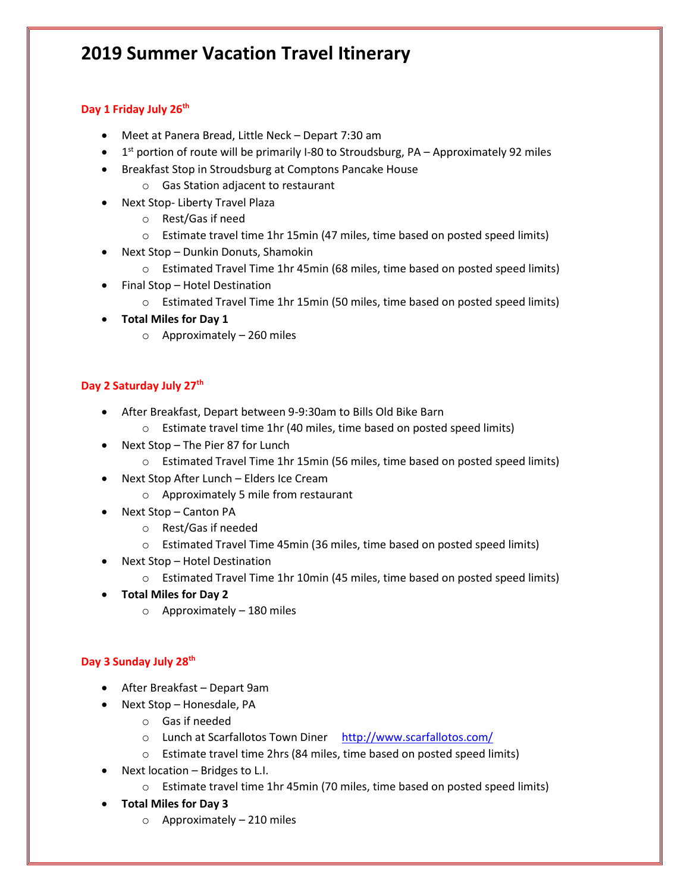## **2019 Summer Vacation Travel Itinerary**

## **Day 1 Friday July 26th**

- Meet at Panera Bread, Little Neck Depart 7:30 am
- $\bullet$  1<sup>st</sup> portion of route will be primarily I-80 to Stroudsburg, PA Approximately 92 miles
- Breakfast Stop in Stroudsburg at Comptons Pancake House
	- o Gas Station adjacent to restaurant
- Next Stop- Liberty Travel Plaza
	- o Rest/Gas if need
	- o Estimate travel time 1hr 15min (47 miles, time based on posted speed limits)
- Next Stop Dunkin Donuts, Shamokin
	- o Estimated Travel Time 1hr 45min (68 miles, time based on posted speed limits)
- Final Stop Hotel Destination
	- o Estimated Travel Time 1hr 15min (50 miles, time based on posted speed limits)
- **Total Miles for Day 1**
	- o Approximately 260 miles

## **Day 2 Saturday July 27th**

- After Breakfast, Depart between 9-9:30am to Bills Old Bike Barn
	- o Estimate travel time 1hr (40 miles, time based on posted speed limits)
- Next Stop The Pier 87 for Lunch
	- o Estimated Travel Time 1hr 15min (56 miles, time based on posted speed limits)
- Next Stop After Lunch Elders Ice Cream
	- o Approximately 5 mile from restaurant
- Next Stop Canton PA
	- o Rest/Gas if needed
	- o Estimated Travel Time 45min (36 miles, time based on posted speed limits)
- Next Stop Hotel Destination
	- o Estimated Travel Time 1hr 10min (45 miles, time based on posted speed limits)
- **Total Miles for Day 2**
	- $\circ$  Approximately 180 miles

## **Day 3 Sunday July 28th**

- After Breakfast Depart 9am
- Next Stop Honesdale, PA
	- o Gas if needed
	- o Lunch at Scarfallotos Town Diner <http://www.scarfallotos.com/>
	- o Estimate travel time 2hrs (84 miles, time based on posted speed limits)
- $\bullet$  Next location Bridges to L.I.
	- o Estimate travel time 1hr 45min (70 miles, time based on posted speed limits)
- **Total Miles for Day 3**
	- o Approximately 210 miles